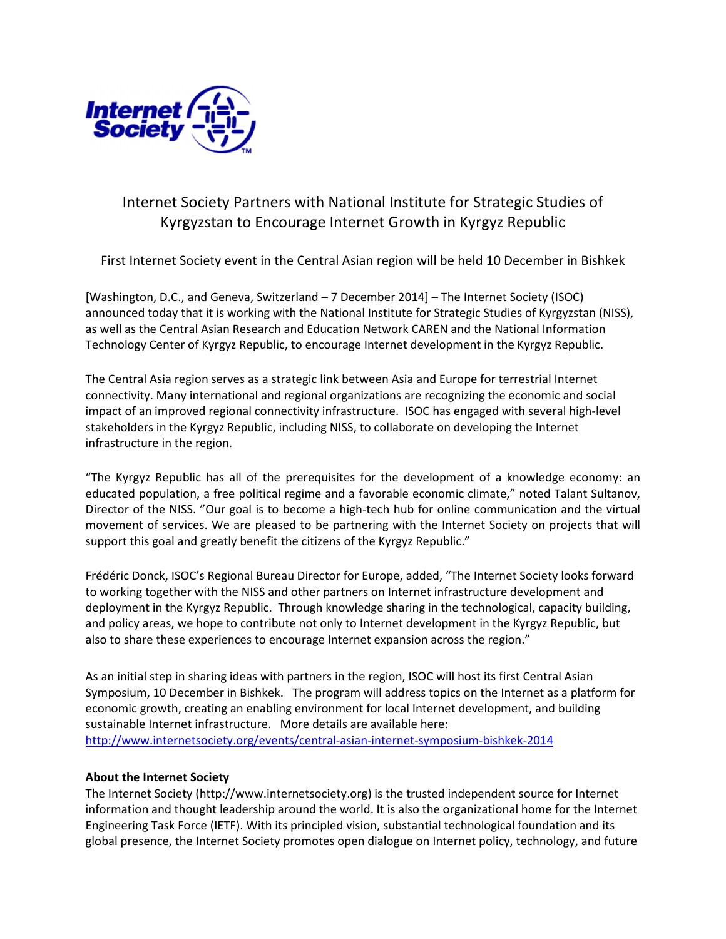

# Internet Society Partners with National Institute for Strategic Studies of Kyrgyzstan to Encourage Internet Growth in Kyrgyz Republic

First Internet Society event in the Central Asian region will be held 10 December in Bishkek

[Washington, D.C., and Geneva, Switzerland – 7 December 2014] – The Internet Society (ISOC) announced today that it is working with the National Institute for Strategic Studies of Kyrgyzstan (NISS), as well as the Central Asian Research and Education Network CAREN and the National Information Technology Center of Kyrgyz Republic, to encourage Internet development in the Kyrgyz Republic.

The Central Asia region serves as a strategic link between Asia and Europe for terrestrial Internet connectivity. Many international and regional organizations are recognizing the economic and social impact of an improved regional connectivity infrastructure. ISOC has engaged with several high-level stakeholders in the Kyrgyz Republic, including NISS, to collaborate on developing the Internet infrastructure in the region.

"The Kyrgyz Republic has all of the prerequisites for the development of a knowledge economy: an educated population, a free political regime and a favorable economic climate," noted Talant Sultanov, Director of the NISS. "Our goal is to become a high-tech hub for online communication and the virtual movement of services. We are pleased to be partnering with the Internet Society on projects that will support this goal and greatly benefit the citizens of the Kyrgyz Republic."

Frédéric Donck, ISOC's Regional Bureau Director for Europe, added, "The Internet Society looks forward to working together with the NISS and other partners on Internet infrastructure development and deployment in the Kyrgyz Republic. Through knowledge sharing in the technological, capacity building, and policy areas, we hope to contribute not only to Internet development in the Kyrgyz Republic, but also to share these experiences to encourage Internet expansion across the region."

As an initial step in sharing ideas with partners in the region, ISOC will host its first Central Asian Symposium, 10 December in Bishkek. The program will address topics on the Internet as a platform for economic growth, creating an enabling environment for local Internet development, and building sustainable Internet infrastructure. More details are available here: http://www.internetsociety.org/events/central-asian-internet-symposium-bishkek-2014

# About the Internet Society

The Internet Society (http://www.internetsociety.org) is the trusted independent source for Internet information and thought leadership around the world. It is also the organizational home for the Internet Engineering Task Force (IETF). With its principled vision, substantial technological foundation and its global presence, the Internet Society promotes open dialogue on Internet policy, technology, and future